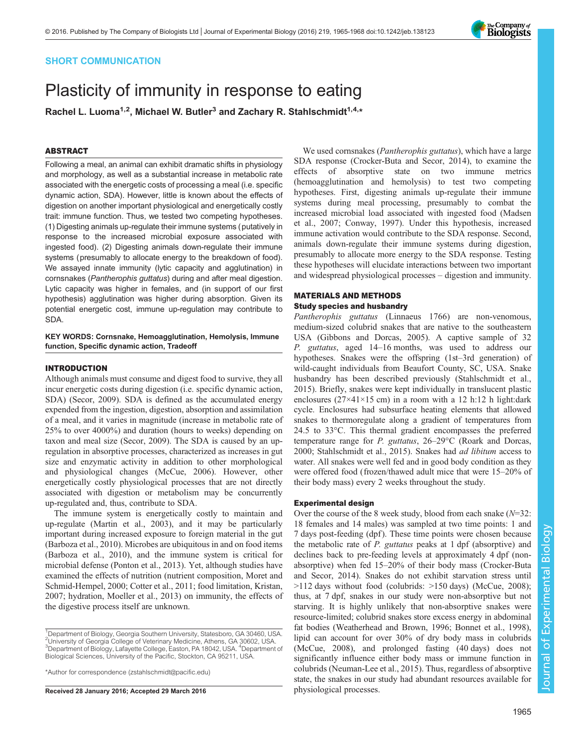# SHORT COMMUNICATION

# Plasticity of immunity in response to eating

Rachel L. Luoma<sup>1,2</sup>, Michael W. Butler<sup>3</sup> and Zachary R. Stahlschmidt<sup>1,4,\*</sup>

## ABSTRACT

Following a meal, an animal can exhibit dramatic shifts in physiology and morphology, as well as a substantial increase in metabolic rate associated with the energetic costs of processing a meal (i.e. specific dynamic action, SDA). However, little is known about the effects of digestion on another important physiological and energetically costly trait: immune function. Thus, we tested two competing hypotheses. (1) Digesting animals up-regulate their immune systems (putatively in response to the increased microbial exposure associated with ingested food). (2) Digesting animals down-regulate their immune systems (presumably to allocate energy to the breakdown of food). We assayed innate immunity (lytic capacity and agglutination) in cornsnakes (Pantherophis guttatus) during and after meal digestion. Lytic capacity was higher in females, and (in support of our first hypothesis) agglutination was higher during absorption. Given its potential energetic cost, immune up-regulation may contribute to SDA.

KEY WORDS: Cornsnake, Hemoagglutination, Hemolysis, Immune function, Specific dynamic action, Tradeoff

# INTRODUCTION

Although animals must consume and digest food to survive, they all incur energetic costs during digestion (i.e. specific dynamic action, SDA) ([Secor, 2009](#page-3-0)). SDA is defined as the accumulated energy expended from the ingestion, digestion, absorption and assimilation of a meal, and it varies in magnitude (increase in metabolic rate of 25% to over 4000%) and duration (hours to weeks) depending on taxon and meal size ([Secor, 2009\)](#page-3-0). The SDA is caused by an upregulation in absorptive processes, characterized as increases in gut size and enzymatic activity in addition to other morphological and physiological changes ([McCue, 2006](#page-3-0)). However, other energetically costly physiological processes that are not directly associated with digestion or metabolism may be concurrently up-regulated and, thus, contribute to SDA.

The immune system is energetically costly to maintain and up-regulate [\(Martin et al., 2003](#page-3-0)), and it may be particularly important during increased exposure to foreign material in the gut [\(Barboza et al., 2010](#page-3-0)). Microbes are ubiquitous in and on food items [\(Barboza et al., 2010\)](#page-3-0), and the immune system is critical for microbial defense ([Ponton et al., 2013](#page-3-0)). Yet, although studies have examined the effects of nutrition (nutrient composition, [Moret and](#page-3-0) [Schmid-Hempel, 2000](#page-3-0); [Cotter et al., 2011](#page-3-0); food limitation, [Kristan,](#page-3-0) [2007](#page-3-0); hydration, [Moeller et al., 2013](#page-3-0)) on immunity, the effects of the digestive process itself are unknown.

Received 28 January 2016; Accepted 29 March 2016 physiological processes.

We used cornsnakes (*Pantherophis guttatus*), which have a large SDA response [\(Crocker-Buta and Secor, 2014](#page-3-0)), to examine the effects of absorptive state on two immune metrics (hemoagglutination and hemolysis) to test two competing hypotheses. First, digesting animals up-regulate their immune systems during meal processing, presumably to combat the increased microbial load associated with ingested food [\(Madsen](#page-3-0) [et al., 2007](#page-3-0); [Conway, 1997\)](#page-3-0). Under this hypothesis, increased immune activation would contribute to the SDA response. Second, animals down-regulate their immune systems during digestion, presumably to allocate more energy to the SDA response. Testing these hypotheses will elucidate interactions between two important and widespread physiological processes – digestion and immunity.

# MATERIALS AND METHODS Study species and husbandry

Pantherophis guttatus (Linnaeus 1766) are non-venomous, medium-sized colubrid snakes that are native to the southeastern USA ([Gibbons and Dorcas, 2005](#page-3-0)). A captive sample of 32 P. guttatus, aged 14–16 months, was used to address our hypotheses. Snakes were the offspring (1st–3rd generation) of wild-caught individuals from Beaufort County, SC, USA. Snake husbandry has been described previously [\(Stahlschmidt et al.,](#page-3-0) [2015\)](#page-3-0). Briefly, snakes were kept individually in translucent plastic enclosures  $(27\times41\times15$  cm) in a room with a 12 h:12 h light:dark cycle. Enclosures had subsurface heating elements that allowed snakes to thermoregulate along a gradient of temperatures from 24.5 to 33°C. This thermal gradient encompasses the preferred temperature range for P. guttatus, 26–29°C [\(Roark and Dorcas,](#page-3-0) [2000; Stahlschmidt et al., 2015\)](#page-3-0). Snakes had ad libitum access to water. All snakes were well fed and in good body condition as they were offered food (frozen/thawed adult mice that were 15–20% of their body mass) every 2 weeks throughout the study.

### Experimental design

Over the course of the 8 week study, blood from each snake  $(N=32)$ : 18 females and 14 males) was sampled at two time points: 1 and 7 days post-feeding (dpf ). These time points were chosen because the metabolic rate of P. guttatus peaks at 1 dpf (absorptive) and declines back to pre-feeding levels at approximately 4 dpf (nonabsorptive) when fed 15–20% of their body mass [\(Crocker-Buta](#page-3-0) [and Secor, 2014\)](#page-3-0). Snakes do not exhibit starvation stress until >112 days without food (colubrids: >150 days) ([McCue, 2008](#page-3-0)); thus, at 7 dpf, snakes in our study were non-absorptive but not starving. It is highly unlikely that non-absorptive snakes were resource-limited; colubrid snakes store excess energy in abdominal fat bodies ([Weatherhead and Brown, 1996; Bonnet et al., 1998\)](#page-3-0), lipid can account for over 30% of dry body mass in colubrids [\(McCue, 2008\)](#page-3-0), and prolonged fasting (40 days) does not significantly influence either body mass or immune function in colubrids [\(Neuman-Lee et al., 2015\)](#page-3-0). Thus, regardless of absorptive state, the snakes in our study had abundant resources available for



<sup>&</sup>lt;sup>1</sup>Department of Biology, Georgia Southern University, Statesboro, GA 30460, USA. <sup>2</sup>University of Georgia College of Veterinary Medicine, Athens, GA 30602, USA. <sup>3</sup>Department of Biology, Lafayette College, Easton, PA 18042, USA. <sup>4</sup>Department of Biological Sciences, University of the Pacific, Stockton, CA 95211, USA.

<sup>\*</sup>Author for correspondence [\(zstahlschmidt@pacific.edu](mailto:zstahlschmidt@pacific.edu))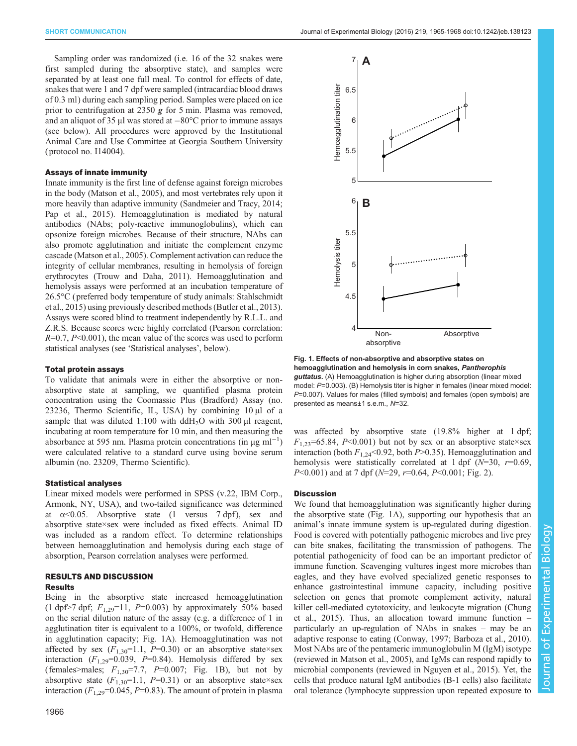<span id="page-1-0"></span>Sampling order was randomized (i.e. 16 of the 32 snakes were first sampled during the absorptive state), and samples were separated by at least one full meal. To control for effects of date, snakes that were 1 and 7 dpf were sampled (intracardiac blood draws of 0.3 ml) during each sampling period. Samples were placed on ice prior to centrifugation at 2350  $g$  for 5 min. Plasma was removed, and an aliquot of 35 μl was stored at −80°C prior to immune assays (see below). All procedures were approved by the Institutional Animal Care and Use Committee at Georgia Southern University ( protocol no. I14004).

### Assays of innate immunity

Innate immunity is the first line of defense against foreign microbes in the body [\(Matson et al., 2005](#page-3-0)), and most vertebrates rely upon it more heavily than adaptive immunity [\(Sandmeier and Tracy, 2014](#page-3-0); [Pap et al., 2015](#page-3-0)). Hemoagglutination is mediated by natural antibodies (NAbs; poly-reactive immunoglobulins), which can opsonize foreign microbes. Because of their structure, NAbs can also promote agglutination and initiate the complement enzyme cascade ([Matson et al., 2005](#page-3-0)). Complement activation can reduce the integrity of cellular membranes, resulting in hemolysis of foreign erythrocytes [\(Trouw and Daha, 2011](#page-3-0)). Hemoagglutination and hemolysis assays were performed at an incubation temperature of 26.5°C (preferred body temperature of study animals: [Stahlschmidt](#page-3-0) [et al., 2015](#page-3-0)) using previously described methods ([Butler et al., 2013\)](#page-3-0). Assays were scored blind to treatment independently by R.L.L. and Z.R.S. Because scores were highly correlated (Pearson correlation:  $R=0.7$ ,  $P<0.001$ ), the mean value of the scores was used to perform statistical analyses (see 'Statistical analyses', below).

### Total protein assays

To validate that animals were in either the absorptive or nonabsorptive state at sampling, we quantified plasma protein concentration using the Coomassie Plus (Bradford) Assay (no. 23236, Thermo Scientific, IL, USA) by combining 10 µl of a sample that was diluted 1:100 with  $ddH_2O$  with 300 µl reagent, incubating at room temperature for 10 min, and then measuring the absorbance at 595 nm. Plasma protein concentrations (in µg ml−<sup>1</sup> ) were calculated relative to a standard curve using bovine serum albumin (no. 23209, Thermo Scientific).

### Statistical analyses

Linear mixed models were performed in SPSS (v.22, IBM Corp., Armonk, NY, USA), and two-tailed significance was determined at  $\alpha$ <0.05. Absorptive state (1 versus 7 dpf), sex and absorptive state×sex were included as fixed effects. Animal ID was included as a random effect. To determine relationships between hemoagglutination and hemolysis during each stage of absorption, Pearson correlation analyses were performed.

# RESULTS AND DISCUSSION

# **Results**

Being in the absorptive state increased hemoagglutination (1 dpf>7 dpf;  $F_{1,29}$ =11, P=0.003) by approximately 50% based on the serial dilution nature of the assay (e.g. a difference of 1 in agglutination titer is equivalent to a 100%, or twofold, difference in agglutination capacity; Fig. 1A). Hemoagglutination was not affected by sex  $(F_{1,30}=1.1, P=0.30)$  or an absorptive state×sex interaction  $(F_{1,29}=0.039, P=0.84)$ . Hemolysis differed by sex (females>males;  $F_{1,30}$ =7.7,  $P=0.007$ ; Fig. 1B), but not by absorptive state  $(F_{1,30}=1.1, P=0.31)$  or an absorptive state×sex interaction  $(F_{1,29}=0.045, P=0.83)$ . The amount of protein in plasma



Fig. 1. Effects of non-absorptive and absorptive states on hemoagglutination and hemolysis in corn snakes, Pantherophis guttatus. (A) Hemoagglutination is higher during absorption (linear mixed model: P=0.003). (B) Hemolysis titer is higher in females (linear mixed model: P=0.007). Values for males (filled symbols) and females (open symbols) are presented as means±1 s.e.m., N=32.

was affected by absorptive state (19.8% higher at 1 dpf;  $F_{1,23}=65.84$ , P<0.001) but not by sex or an absorptive state×sex interaction (both  $F_{1,24}$ <0.92, both P>0.35). Hemoagglutination and hemolysis were statistically correlated at 1 dpf  $(N=30, r=0.69,$  $P<0.001$ ) and at 7 dpf ( $N=29$ ,  $r=0.64$ ,  $P<0.001$ ; [Fig. 2](#page-2-0)).

### **Discussion**

We found that hemoagglutination was significantly higher during the absorptive state (Fig. 1A), supporting our hypothesis that an animal's innate immune system is up-regulated during digestion. Food is covered with potentially pathogenic microbes and live prey can bite snakes, facilitating the transmission of pathogens. The potential pathogenicity of food can be an important predictor of immune function. Scavenging vultures ingest more microbes than eagles, and they have evolved specialized genetic responses to enhance gastrointestinal immune capacity, including positive selection on genes that promote complement activity, natural killer cell-mediated cytotoxicity, and leukocyte migration ([Chung](#page-3-0) [et al., 2015](#page-3-0)). Thus, an allocation toward immune function – particularly an up-regulation of NAbs in snakes – may be an adaptive response to eating ([Conway, 1997](#page-3-0); [Barboza et al., 2010\)](#page-3-0). Most NAbs are of the pentameric immunoglobulin M (IgM) isotype (reviewed in [Matson et al., 2005\)](#page-3-0), and IgMs can respond rapidly to microbial components (reviewed in [Nguyen et al., 2015](#page-3-0)). Yet, the cells that produce natural IgM antibodies (B-1 cells) also facilitate oral tolerance (lymphocyte suppression upon repeated exposure to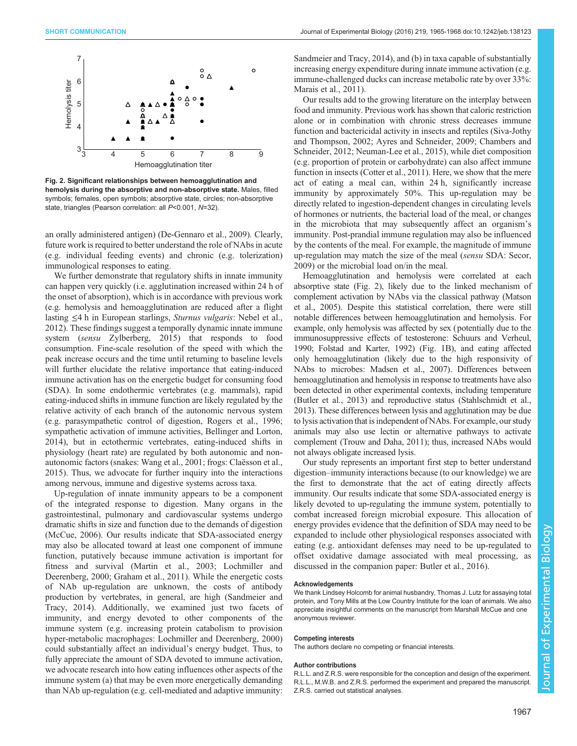Hemolysis titer

<span id="page-2-0"></span>Hemolysis titer



 $\overline{4}$ 3  $\overline{4}$ 5 6  $\mathbf{8}$ 9  $\frac{3}{56}$ Hemoagglutination titer

Fig. 2. Significant relationships between hemoagglutination and hemolysis during the absorptive and non-absorptive state. Males, filled symbols; females, open symbols; absorptive state, circles; non-absorptive state, triangles (Pearson correlation: all P<0.001, N=32).

an orally administered antigen) ([De-Gennaro et al., 2009](#page-3-0)). Clearly, future work is required to better understand the role of NAbs in acute (e.g. individual feeding events) and chronic (e.g. tolerization) immunological responses to eating.

We further demonstrate that regulatory shifts in innate immunity can happen very quickly (i.e. agglutination increased within 24 h of the onset of absorption), which is in accordance with previous work (e.g. hemolysis and hemoagglutination are reduced after a flight lasting ≤4 h in European starlings, Sturnus vulgaris: [Nebel et al.,](#page-3-0) [2012](#page-3-0)). These findings suggest a temporally dynamic innate immune system (sensu [Zylberberg, 2015](#page-3-0)) that responds to food consumption. Fine-scale resolution of the speed with which the peak increase occurs and the time until returning to baseline levels will further elucidate the relative importance that eating-induced immune activation has on the energetic budget for consuming food (SDA). In some endothermic vertebrates (e.g. mammals), rapid eating-induced shifts in immune function are likely regulated by the relative activity of each branch of the autonomic nervous system (e.g. parasympathetic control of digestion, [Rogers et al., 1996](#page-3-0); sympathetic activation of immune activities, [Bellinger and Lorton,](#page-3-0) [2014](#page-3-0)), but in ectothermic vertebrates, eating-induced shifts in physiology (heart rate) are regulated by both autonomic and nonautonomic factors (snakes: [Wang et al., 2001](#page-3-0); frogs: [Claësson et al.,](#page-3-0) [2015](#page-3-0)). Thus, we advocate for further inquiry into the interactions among nervous, immune and digestive systems across taxa.

Up-regulation of innate immunity appears to be a component of the integrated response to digestion. Many organs in the gastrointestinal, pulmonary and cardiovascular systems undergo dramatic shifts in size and function due to the demands of digestion [\(McCue, 2006\)](#page-3-0). Our results indicate that SDA-associated energy may also be allocated toward at least one component of immune function, putatively because immune activation is important for fitness and survival ([Martin et al., 2003](#page-3-0); [Lochmiller and](#page-3-0) [Deerenberg, 2000; Graham et al., 2011](#page-3-0)). While the energetic costs of NAb up-regulation are unknown, the costs of antibody production by vertebrates, in general, are high ([Sandmeier and](#page-3-0) [Tracy, 2014\)](#page-3-0). Additionally, we examined just two facets of immunity, and energy devoted to other components of the immune system (e.g. increasing protein catabolism to provision hyper-metabolic macrophages: [Lochmiller and Deerenberg, 2000\)](#page-3-0) could substantially affect an individual's energy budget. Thus, to fully appreciate the amount of SDA devoted to immune activation, we advocate research into how eating influences other aspects of the immune system (a) that may be even more energetically demanding than NAb up-regulation (e.g. cell-mediated and adaptive immunity:

[Sandmeier and Tracy, 2014\)](#page-3-0), and (b) in taxa capable of substantially increasing energy expenditure during innate immune activation (e.g. immune-challenged ducks can increase metabolic rate by over 33%: [Marais et al., 2011](#page-3-0)).

Our results add to the growing literature on the interplay between food and immunity. Previous work has shown that caloric restriction alone or in combination with chronic stress decreases immune function and bactericidal activity in insects and reptiles ([Siva-Jothy](#page-3-0) [and Thompson, 2002; Ayres and Schneider, 2009](#page-3-0); [Chambers and](#page-3-0) [Schneider, 2012](#page-3-0); [Neuman-Lee et al., 2015\)](#page-3-0), while diet composition (e.g. proportion of protein or carbohydrate) can also affect immune function in insects [\(Cotter et al., 2011\)](#page-3-0). Here, we show that the mere act of eating a meal can, within 24 h, significantly increase immunity by approximately 50%. This up-regulation may be directly related to ingestion-dependent changes in circulating levels of hormones or nutrients, the bacterial load of the meal, or changes in the microbiota that may subsequently affect an organism's immunity. Post-prandial immune regulation may also be influenced by the contents of the meal. For example, the magnitude of immune up-regulation may match the size of the meal (sensu SDA: [Secor,](#page-3-0) [2009\)](#page-3-0) or the microbial load on/in the meal.

Hemoagglutination and hemolysis were correlated at each absorptive state (Fig. 2), likely due to the linked mechanism of complement activation by NAbs via the classical pathway [\(Matson](#page-3-0) [et al., 2005](#page-3-0)). Despite this statistical correlation, there were still notable differences between hemoagglutination and hemolysis. For example, only hemolysis was affected by sex (potentially due to the immunosuppressive effects of testosterone: Schuurs and Verheul, 1990; [Folstad and Karter, 1992](#page-3-0)) [\(Fig. 1B](#page-1-0)), and eating affected only hemoagglutination (likely due to the high responsivity of NAbs to microbes: [Madsen et al., 2007\)](#page-3-0). Differences between hemoagglutination and hemolysis in response to treatments have also been detected in other experimental contexts, including temperature [\(Butler et al., 2013\)](#page-3-0) and reproductive status ([Stahlschmidt et al.,](#page-3-0) [2013\)](#page-3-0). These differences between lysis and agglutination may be due to lysis activation that is independent of NAbs. For example, our study animals may also use lectin or alternative pathways to activate complement ([Trouw and Daha, 2011](#page-3-0)); thus, increased NAbs would not always obligate increased lysis.

Our study represents an important first step to better understand digestion–immunity interactions because (to our knowledge) we are the first to demonstrate that the act of eating directly affects immunity. Our results indicate that some SDA-associated energy is likely devoted to up-regulating the immune system, potentially to combat increased foreign microbial exposure. This allocation of energy provides evidence that the definition of SDA may need to be expanded to include other physiological responses associated with eating (e.g. antioxidant defenses may need to be up-regulated to offset oxidative damage associated with meal processing, as discussed in the companion paper: [Butler et al., 2016](#page-3-0)).

### Acknowledgements

We thank Lindsey Holcomb for animal husbandry, Thomas J. Lutz for assaying total protein, and Tony Mills at the Low Country Institute for the loan of animals. We also appreciate insightful comments on the manuscript from Marshall McCue and one anonymous reviewer.

### Competing interests

The authors declare no competing or financial interests.

### Author contributions

R.L.L. and Z.R.S. were responsible for the conception and design of the experiment. R.L.L., M.W.B. and Z.R.S. performed the experiment and prepared the manuscript. Z.R.S. carried out statistical analyses.